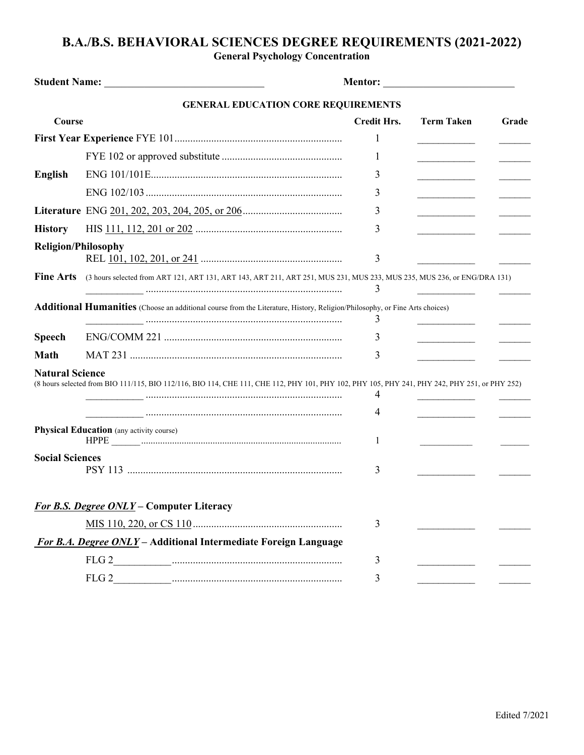## **B.A./B.S. BEHAVIORAL SCIENCES DEGREE REQUIREMENTS (2021-2022)**

**General Psychology Concentration**

|                            |                                                                                                                                                                                                                                                                                                                                                                                                                                       | <b>Mentor: ______________________________</b> |                                   |       |
|----------------------------|---------------------------------------------------------------------------------------------------------------------------------------------------------------------------------------------------------------------------------------------------------------------------------------------------------------------------------------------------------------------------------------------------------------------------------------|-----------------------------------------------|-----------------------------------|-------|
|                            | <b>GENERAL EDUCATION CORE REQUIREMENTS</b>                                                                                                                                                                                                                                                                                                                                                                                            |                                               |                                   |       |
| Course                     |                                                                                                                                                                                                                                                                                                                                                                                                                                       | <b>Credit Hrs.</b>                            | <b>Term Taken</b>                 | Grade |
|                            |                                                                                                                                                                                                                                                                                                                                                                                                                                       | 1                                             |                                   |       |
|                            |                                                                                                                                                                                                                                                                                                                                                                                                                                       | 1                                             | $\overline{\phantom{a}}$          |       |
| English                    |                                                                                                                                                                                                                                                                                                                                                                                                                                       | 3                                             |                                   |       |
|                            |                                                                                                                                                                                                                                                                                                                                                                                                                                       | 3                                             | and the control of the control of |       |
|                            |                                                                                                                                                                                                                                                                                                                                                                                                                                       | 3                                             | the control of the control of the |       |
| <b>History</b>             |                                                                                                                                                                                                                                                                                                                                                                                                                                       | 3                                             |                                   |       |
| <b>Religion/Philosophy</b> |                                                                                                                                                                                                                                                                                                                                                                                                                                       | 3                                             |                                   |       |
| <b>Fine Arts</b>           | (3 hours selected from ART 121, ART 131, ART 143, ART 211, ART 251, MUS 231, MUS 233, MUS 235, MUS 236, or ENG/DRA 131)                                                                                                                                                                                                                                                                                                               | 3                                             |                                   |       |
|                            | Additional Humanities (Choose an additional course from the Literature, History, Religion/Philosophy, or Fine Arts choices)                                                                                                                                                                                                                                                                                                           | 3                                             |                                   |       |
| <b>Speech</b>              |                                                                                                                                                                                                                                                                                                                                                                                                                                       | 3                                             | the control of the control of the |       |
| <b>Math</b>                |                                                                                                                                                                                                                                                                                                                                                                                                                                       | 3                                             |                                   |       |
| <b>Natural Science</b>     | (8 hours selected from BIO 111/115, BIO 112/116, BIO 114, CHE 111, CHE 112, PHY 101, PHY 102, PHY 105, PHY 241, PHY 242, PHY 251, or PHY 252)                                                                                                                                                                                                                                                                                         | 4                                             |                                   |       |
|                            | $\begin{minipage}{0.99\textwidth} \begin{tabular}{ c c c c c } \hline & \multicolumn{1}{ c }{0.99\textwidth} \begin{tabular}{ c c c } \hline & \multicolumn{1}{ c }{0.99\textwidth} \begin{tabular}{ c c c } \hline & \multicolumn{1}{ c }{0.99\textwidth} \begin{tabular}{ c c c } \hline & \multicolumn{1}{ c }{0.99\textwidth} \begin{tabular}{ c c c } \hline & \multicolumn{1}{ c }{0.99\textwidth} \begin{tabular}{ c c c } \h$ | 4                                             |                                   |       |
|                            | <b>Physical Education</b> (any activity course)                                                                                                                                                                                                                                                                                                                                                                                       | 1                                             |                                   |       |
| <b>Social Sciences</b>     |                                                                                                                                                                                                                                                                                                                                                                                                                                       | 3                                             |                                   |       |
|                            | For B.S. Degree ONLY - Computer Literacy                                                                                                                                                                                                                                                                                                                                                                                              |                                               |                                   |       |
|                            |                                                                                                                                                                                                                                                                                                                                                                                                                                       | 3                                             |                                   |       |
|                            | For B.A. Degree ONLY - Additional Intermediate Foreign Language                                                                                                                                                                                                                                                                                                                                                                       |                                               |                                   |       |
|                            |                                                                                                                                                                                                                                                                                                                                                                                                                                       | 3                                             |                                   |       |
|                            |                                                                                                                                                                                                                                                                                                                                                                                                                                       | 3                                             |                                   |       |